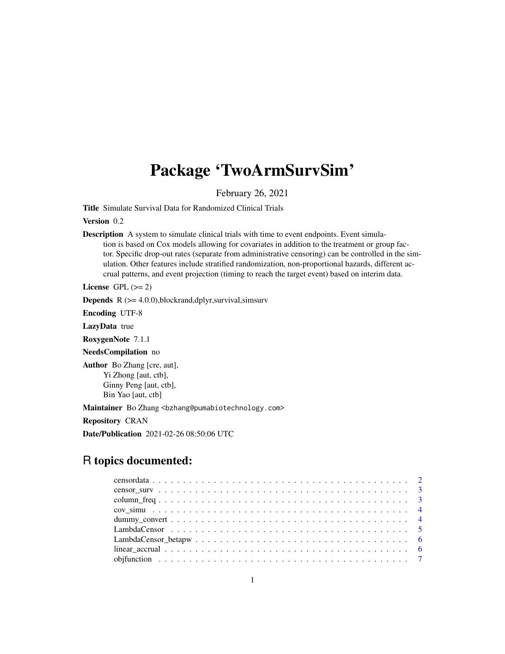# Package 'TwoArmSurvSim'

February 26, 2021

Title Simulate Survival Data for Randomized Clinical Trials

Version 0.2

Description A system to simulate clinical trials with time to event endpoints. Event simulation is based on Cox models allowing for covariates in addition to the treatment or group factor. Specific drop-out rates (separate from administrative censoring) can be controlled in the simulation. Other features include stratified randomization, non-proportional hazards, different accrual patterns, and event projection (timing to reach the target event) based on interim data.

License GPL  $(>= 2)$ 

**Depends**  $R$  ( $>= 4.0.0$ ), blockrand, dplyr, survival, simsurv

Encoding UTF-8

LazyData true

RoxygenNote 7.1.1

NeedsCompilation no

Author Bo Zhang [cre, aut], Yi Zhong [aut, ctb], Ginny Peng [aut, ctb], Bin Yao [aut, ctb]

Maintainer Bo Zhang <br/>bzhang@pumabiotechnology.com>

Repository CRAN

Date/Publication 2021-02-26 08:50:06 UTC

# R topics documented: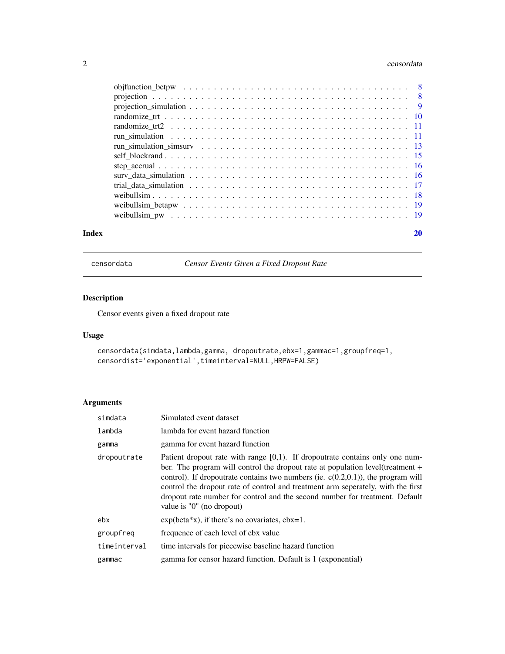#### <span id="page-1-0"></span> $2 \cos \theta$  censordata

| Index | 20 |
|-------|----|
|       |    |
|       |    |
|       |    |
|       |    |
|       |    |
|       |    |
|       |    |
|       |    |
|       |    |
|       |    |
|       |    |
|       |    |
|       |    |
|       |    |

censordata *Censor Events Given a Fixed Dropout Rate*

# Description

Censor events given a fixed dropout rate

# Usage

```
censordata(simdata,lambda,gamma, dropoutrate,ebx=1,gammac=1,groupfreq=1,
censordist='exponential',timeinterval=NULL,HRPW=FALSE)
```

| simdata      | Simulated event dataset                                                                                                                                                                                                                                                                                                                                                                                                                                    |
|--------------|------------------------------------------------------------------------------------------------------------------------------------------------------------------------------------------------------------------------------------------------------------------------------------------------------------------------------------------------------------------------------------------------------------------------------------------------------------|
| lambda       | lambda for event hazard function                                                                                                                                                                                                                                                                                                                                                                                                                           |
| gamma        | gamma for event hazard function                                                                                                                                                                                                                                                                                                                                                                                                                            |
| dropoutrate  | Patient dropout rate with range $[0,1)$ . If dropoutrate contains only one num-<br>ber. The program will control the dropout rate at population level (treatment +<br>control). If dropoutrate contains two numbers (ie. $c(0.2,0.1)$ ), the program will<br>control the dropout rate of control and treatment arm seperately, with the first<br>dropout rate number for control and the second number for treatment. Default<br>value is "0" (no dropout) |
| ebx          | $exp(beta*x)$ , if there's no covariates, $ebx=1$ .                                                                                                                                                                                                                                                                                                                                                                                                        |
| groupfreq    | frequence of each level of ebx value                                                                                                                                                                                                                                                                                                                                                                                                                       |
| timeinterval | time intervals for piecewise baseline hazard function                                                                                                                                                                                                                                                                                                                                                                                                      |
| gammac       | gamma for censor hazard function. Default is 1 (exponential)                                                                                                                                                                                                                                                                                                                                                                                               |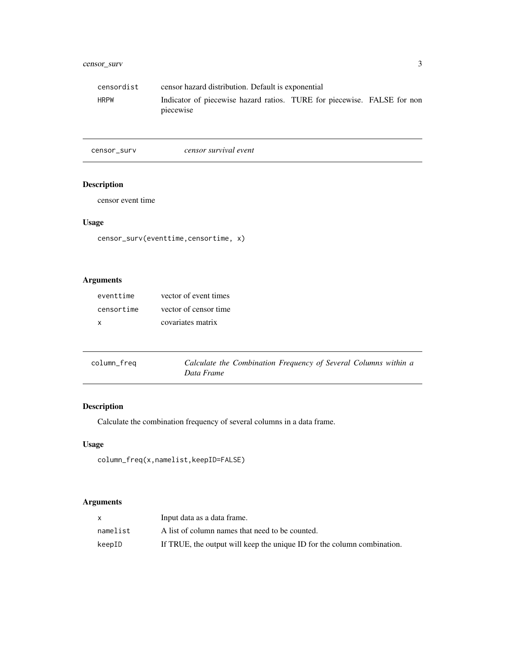# <span id="page-2-0"></span>censor\_surv 3

| censordist  | censor hazard distribution. Default is exponential                                   |  |  |
|-------------|--------------------------------------------------------------------------------------|--|--|
| <b>HRPW</b> | Indicator of piecewise hazard ratios. TURE for piecewise. FALSE for non<br>piecewise |  |  |

censor\_surv *censor survival event*

# Description

censor event time

# Usage

```
censor_surv(eventtime,censortime, x)
```
# Arguments

| eventtime  | vector of event times |
|------------|-----------------------|
| censortime | vector of censor time |
| x          | covariates matrix     |

| column_freq | Calculate the Combination Frequency of Several Columns within a |  |
|-------------|-----------------------------------------------------------------|--|
|             | Data Frame                                                      |  |

# Description

Calculate the combination frequency of several columns in a data frame.

# Usage

```
column_freq(x,namelist,keepID=FALSE)
```

|          | Input data as a data frame.                                             |
|----------|-------------------------------------------------------------------------|
| namelist | A list of column names that need to be counted.                         |
| keepID   | If TRUE, the output will keep the unique ID for the column combination. |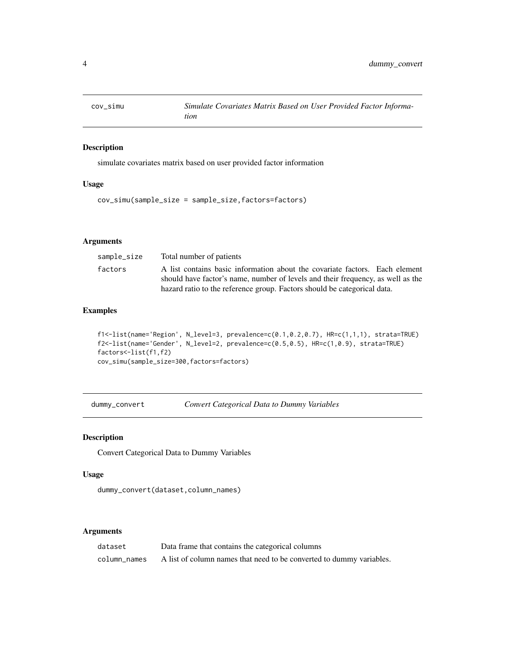<span id="page-3-0"></span>

simulate covariates matrix based on user provided factor information

#### Usage

cov\_simu(sample\_size = sample\_size,factors=factors)

# Arguments

| sample_size | Total number of patients                                                                                                                                       |
|-------------|----------------------------------------------------------------------------------------------------------------------------------------------------------------|
| factors     | A list contains basic information about the covariate factors. Each element<br>should have factor's name, number of levels and their frequency, as well as the |
|             | hazard ratio to the reference group. Factors should be categorical data.                                                                                       |

#### Examples

```
f1<-list(name='Region', N_level=3, prevalence=c(0.1,0.2,0.7), HR=c(1,1,1), strata=TRUE)
f2<-list(name='Gender', N_level=2, prevalence=c(0.5,0.5), HR=c(1,0.9), strata=TRUE)
factors<-list(f1,f2)
cov_simu(sample_size=300,factors=factors)
```
dummy\_convert *Convert Categorical Data to Dummy Variables*

#### Description

Convert Categorical Data to Dummy Variables

# Usage

```
dummy_convert(dataset,column_names)
```

| dataset      | Data frame that contains the categorical columns                     |
|--------------|----------------------------------------------------------------------|
| column names | A list of column names that need to be converted to dummy variables. |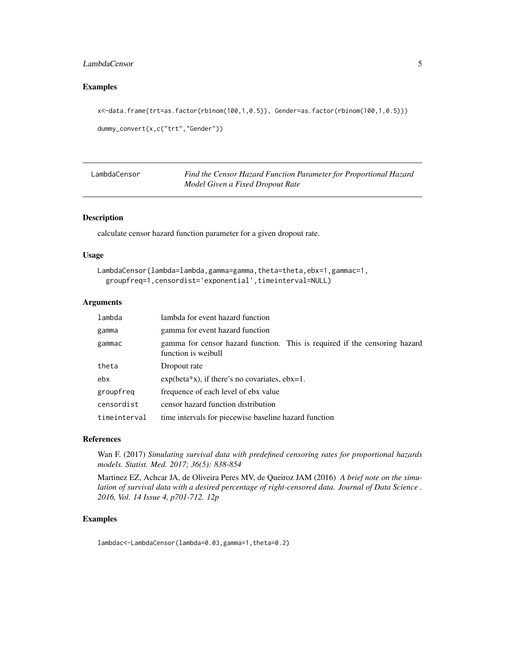### <span id="page-4-0"></span>LambdaCensor 5

# Examples

```
x<-data.frame(trt=as.factor(rbinom(100,1,0.5)), Gender=as.factor(rbinom(100,1,0.5)))
```

```
dummy_convert(x,c("trt","Gender"))
```

| LambdaCensor | Find the Censor Hazard Function Parameter for Proportional Hazard |
|--------------|-------------------------------------------------------------------|
|              | Model Given a Fixed Dropout Rate                                  |

# Description

calculate censor hazard function parameter for a given dropout rate.

#### Usage

```
LambdaCensor(lambda=lambda,gamma=gamma,theta=theta,ebx=1,gammac=1,
  groupfreq=1,censordist='exponential',timeinterval=NULL)
```
#### Arguments

| lambda       | lambda for event hazard function                                                                  |
|--------------|---------------------------------------------------------------------------------------------------|
| gamma        | gamma for event hazard function                                                                   |
| gammac       | gamma for censor hazard function. This is required if the censoring hazard<br>function is weibull |
| theta        | Dropout rate                                                                                      |
| ebx          | $exp(beta*x)$ , if there's no covariates, $ebx=1$ .                                               |
| groupfreq    | frequence of each level of ebx value                                                              |
| censordist   | censor hazard function distribution                                                               |
| timeinterval | time intervals for piecewise baseline hazard function                                             |

#### References

Wan F. (2017) *Simulating survival data with predefined censoring rates for proportional hazards models. Statist. Med. 2017; 36(5): 838-854*

Martinez EZ, Achcar JA, de Oliveira Peres MV, de Queiroz JAM (2016) *A brief note on the simulation of survival data with a desired percentage of right-censored data. Journal of Data Science . 2016, Vol. 14 Issue 4, p701-712. 12p*

#### Examples

lambdac<-LambdaCensor(lambda=0.03,gamma=1,theta=0.2)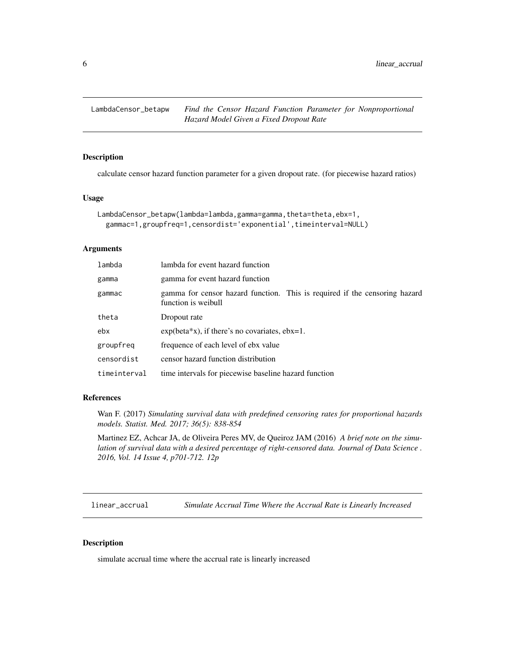<span id="page-5-0"></span>

calculate censor hazard function parameter for a given dropout rate. (for piecewise hazard ratios)

#### Usage

```
LambdaCensor_betapw(lambda=lambda,gamma=gamma,theta=theta,ebx=1,
  gammac=1,groupfreq=1,censordist='exponential',timeinterval=NULL)
```
#### Arguments

| lambda       | lambda for event hazard function                                                                  |
|--------------|---------------------------------------------------------------------------------------------------|
| gamma        | gamma for event hazard function                                                                   |
| gammac       | gamma for censor hazard function. This is required if the censoring hazard<br>function is weibull |
| theta        | Dropout rate                                                                                      |
| ebx          | $exp(beta*x)$ , if there's no covariates, $ebx=1$ .                                               |
| groupfreq    | frequence of each level of ebx value                                                              |
| censordist   | censor hazard function distribution                                                               |
| timeinterval | time intervals for piecewise baseline hazard function                                             |

#### References

Wan F. (2017) *Simulating survival data with predefined censoring rates for proportional hazards models. Statist. Med. 2017; 36(5): 838-854*

Martinez EZ, Achcar JA, de Oliveira Peres MV, de Queiroz JAM (2016) *A brief note on the simulation of survival data with a desired percentage of right-censored data. Journal of Data Science . 2016, Vol. 14 Issue 4, p701-712. 12p*

linear\_accrual *Simulate Accrual Time Where the Accrual Rate is Linearly Increased*

#### Description

simulate accrual time where the accrual rate is linearly increased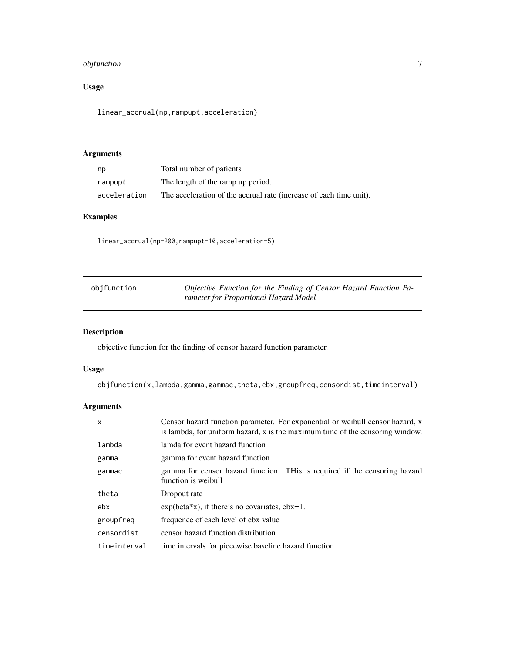# <span id="page-6-0"></span>objfunction 7

# Usage

```
linear_accrual(np,rampupt,acceleration)
```
# Arguments

| np           | Total number of patients                                           |
|--------------|--------------------------------------------------------------------|
| rampupt      | The length of the ramp up period.                                  |
| acceleration | The acceleration of the accrual rate (increase of each time unit). |

# Examples

linear\_accrual(np=200,rampupt=10,acceleration=5)

| objfunction | Objective Function for the Finding of Censor Hazard Function Pa- |
|-------------|------------------------------------------------------------------|
|             | rameter for Proportional Hazard Model                            |

# Description

objective function for the finding of censor hazard function parameter.

# Usage

objfunction(x,lambda,gamma,gammac,theta,ebx,groupfreq,censordist,timeinterval)

| $\mathsf{x}$ | Censor hazard function parameter. For exponential or weibull censor hazard, x<br>is lambda, for uniform hazard, x is the maximum time of the censoring window. |  |  |  |
|--------------|----------------------------------------------------------------------------------------------------------------------------------------------------------------|--|--|--|
| lambda       | lamda for event hazard function                                                                                                                                |  |  |  |
| gamma        | gamma for event hazard function                                                                                                                                |  |  |  |
| gammac       | gamma for censor hazard function. THis is required if the censoring hazard<br>function is weibull                                                              |  |  |  |
| theta        | Dropout rate                                                                                                                                                   |  |  |  |
| ebx          | $exp(beta*x)$ , if there's no covariates, $ebx=1$ .                                                                                                            |  |  |  |
| groupfreq    | frequence of each level of ebx value                                                                                                                           |  |  |  |
| censordist   | censor hazard function distribution                                                                                                                            |  |  |  |
| timeinterval | time intervals for piecewise baseline hazard function                                                                                                          |  |  |  |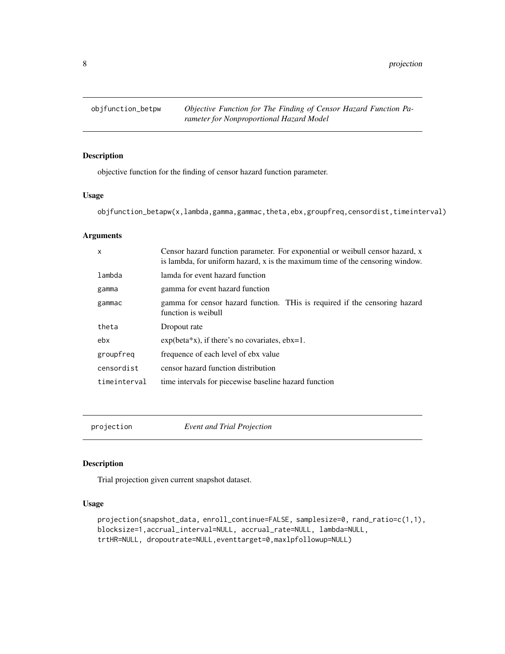<span id="page-7-0"></span>8 projection

# Description

objective function for the finding of censor hazard function parameter.

# Usage

objfunction\_betapw(x,lambda,gamma,gammac,theta,ebx,groupfreq,censordist,timeinterval)

#### Arguments

| $\mathsf{x}$ | Censor hazard function parameter. For exponential or weibull censor hazard, x<br>is lambda, for uniform hazard, x is the maximum time of the censoring window. |  |  |
|--------------|----------------------------------------------------------------------------------------------------------------------------------------------------------------|--|--|
| lambda       | lamda for event hazard function                                                                                                                                |  |  |
| gamma        | gamma for event hazard function                                                                                                                                |  |  |
| gammac       | gamma for censor hazard function. This is required if the censoring hazard<br>function is weibull                                                              |  |  |
| theta        | Dropout rate                                                                                                                                                   |  |  |
| ebx          | $exp(beta*x)$ , if there's no covariates, $ebx=1$ .                                                                                                            |  |  |
| groupfreq    | frequence of each level of ebx value                                                                                                                           |  |  |
| censordist   | censor hazard function distribution                                                                                                                            |  |  |
| timeinterval | time intervals for piecewise baseline hazard function                                                                                                          |  |  |

projection *Event and Trial Projection*

#### Description

Trial projection given current snapshot dataset.

```
projection(snapshot_data, enroll_continue=FALSE, samplesize=0, rand_ratio=c(1,1),
blocksize=1,accrual_interval=NULL, accrual_rate=NULL, lambda=NULL,
trtHR=NULL, dropoutrate=NULL,eventtarget=0,maxlpfollowup=NULL)
```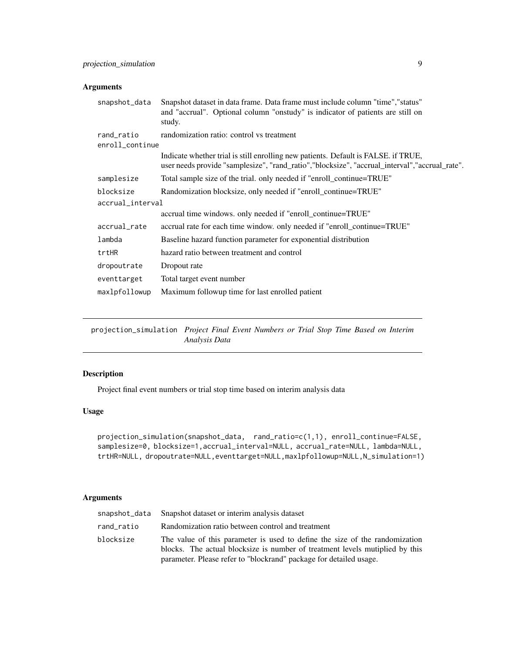<span id="page-8-0"></span>

| snapshot_data    | Snapshot dataset in data frame. Data frame must include column "time", "status"<br>and "accrual". Optional column "onstudy" is indicator of patients are still on<br>study.           |
|------------------|---------------------------------------------------------------------------------------------------------------------------------------------------------------------------------------|
| rand_ratio       | randomization ratio: control vs treatment                                                                                                                                             |
| enroll_continue  |                                                                                                                                                                                       |
|                  | Indicate whether trial is still enrolling new patients. Default is FALSE, if TRUE,<br>user needs provide "samplesize", "rand_ratio", "blocksize", "accrual_interval", "accrual_rate". |
| samplesize       | Total sample size of the trial. only needed if "enroll_continue=TRUE"                                                                                                                 |
| blocksize        | Randomization blocksize, only needed if "enroll_continue=TRUE"                                                                                                                        |
| accrual_interval |                                                                                                                                                                                       |
|                  | accrual time windows. only needed if "enroll_continue=TRUE"                                                                                                                           |
| accrual_rate     | accrual rate for each time window, only needed if "enroll_continue=TRUE"                                                                                                              |
| lambda           | Baseline hazard function parameter for exponential distribution                                                                                                                       |
| trtHR            | hazard ratio between treatment and control                                                                                                                                            |
| dropoutrate      | Dropout rate                                                                                                                                                                          |
| eventtarget      | Total target event number                                                                                                                                                             |
| maxlpfollowup    | Maximum followup time for last enrolled patient                                                                                                                                       |

projection\_simulation *Project Final Event Numbers or Trial Stop Time Based on Interim Analysis Data*

# Description

Project final event numbers or trial stop time based on interim analysis data

# Usage

```
projection_simulation(snapshot_data, rand_ratio=c(1,1), enroll_continue=FALSE,
samplesize=0, blocksize=1,accrual_interval=NULL, accrual_rate=NULL, lambda=NULL,
trtHR=NULL, dropoutrate=NULL,eventtarget=NULL,maxlpfollowup=NULL,N_simulation=1)
```

|            | snapshot_data Snapshot dataset or interim analysis dataset                                                                                                                                                                        |
|------------|-----------------------------------------------------------------------------------------------------------------------------------------------------------------------------------------------------------------------------------|
| rand_ratio | Randomization ratio between control and treatment                                                                                                                                                                                 |
| blocksize  | The value of this parameter is used to define the size of the randomization<br>blocks. The actual blocksize is number of treatment levels mutiplied by this<br>parameter. Please refer to "blockrand" package for detailed usage. |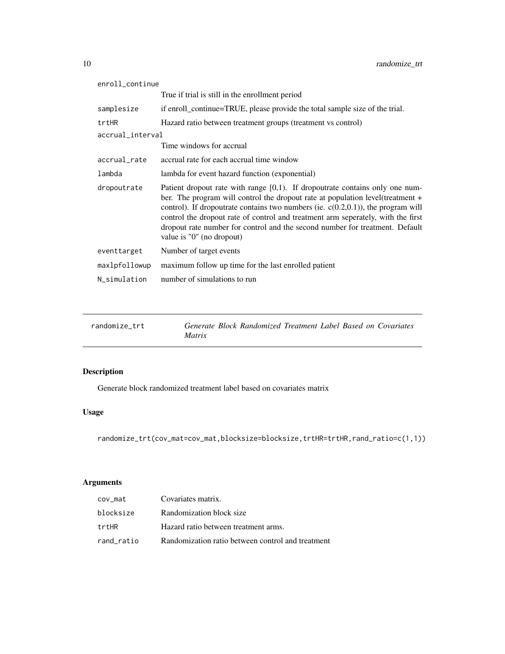<span id="page-9-0"></span>

| enroll_continue  |                                                                                                                                                                                                                                                                                                                                                                                                                                                           |
|------------------|-----------------------------------------------------------------------------------------------------------------------------------------------------------------------------------------------------------------------------------------------------------------------------------------------------------------------------------------------------------------------------------------------------------------------------------------------------------|
|                  | True if trial is still in the enrollment period                                                                                                                                                                                                                                                                                                                                                                                                           |
| samplesize       | if enroll_continue=TRUE, please provide the total sample size of the trial.                                                                                                                                                                                                                                                                                                                                                                               |
| trtHR            | Hazard ratio between treatment groups (treatment vs control)                                                                                                                                                                                                                                                                                                                                                                                              |
| accrual_interval |                                                                                                                                                                                                                                                                                                                                                                                                                                                           |
|                  | Time windows for accrual                                                                                                                                                                                                                                                                                                                                                                                                                                  |
| accrual_rate     | accrual rate for each accrual time window                                                                                                                                                                                                                                                                                                                                                                                                                 |
| lambda           | lambda for event hazard function (exponential)                                                                                                                                                                                                                                                                                                                                                                                                            |
| dropoutrate      | Patient dropout rate with range $[0,1)$ . If dropoutrate contains only one num-<br>ber. The program will control the dropout rate at population level(treatment +<br>control). If dropoutrate contains two numbers (ie. $c(0.2,0.1)$ ), the program will<br>control the dropout rate of control and treatment arm seperately, with the first<br>dropout rate number for control and the second number for treatment. Default<br>value is "0" (no dropout) |
| eventtarget      | Number of target events                                                                                                                                                                                                                                                                                                                                                                                                                                   |
| maxlpfollowup    | maximum follow up time for the last enrolled patient                                                                                                                                                                                                                                                                                                                                                                                                      |
| N_simulation     | number of simulations to run                                                                                                                                                                                                                                                                                                                                                                                                                              |
|                  |                                                                                                                                                                                                                                                                                                                                                                                                                                                           |

| randomize trt | Generate Block Randomized Treatment Label Based on Covariates |
|---------------|---------------------------------------------------------------|
|               | <i>Matrix</i>                                                 |

Generate block randomized treatment label based on covariates matrix

# Usage

```
randomize_trt(cov_mat=cov_mat,blocksize=blocksize,trtHR=trtHR,rand_ratio=c(1,1))
```

| cov_mat    | Covariates matrix.                                |
|------------|---------------------------------------------------|
| blocksize  | Randomization block size                          |
| trtHR      | Hazard ratio between treatment arms.              |
| rand ratio | Randomization ratio between control and treatment |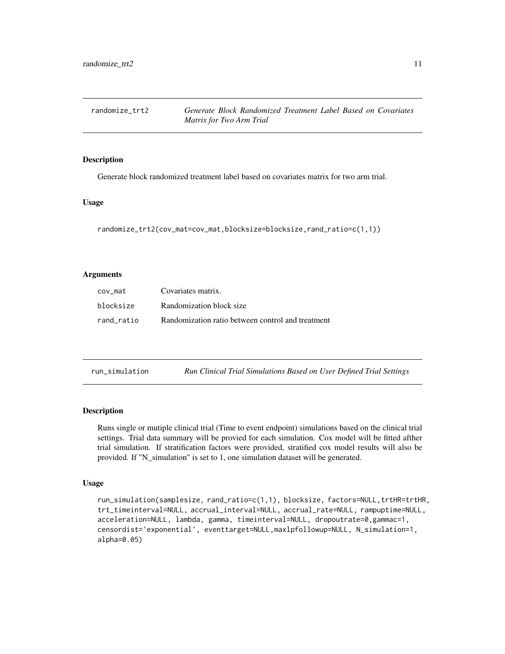<span id="page-10-0"></span>

| randomize trt2 |                          | Generate Block Randomized Treatment Label Based on Covariates |  |  |  |
|----------------|--------------------------|---------------------------------------------------------------|--|--|--|
|                | Matrix for Two Arm Trial |                                                               |  |  |  |

Generate block randomized treatment label based on covariates matrix for two arm trial.

#### Usage

```
randomize_trt2(cov_mat=cov_mat,blocksize=blocksize,rand_ratio=c(1,1))
```
#### **Arguments**

| cov mat    | Covariates matrix.                                |
|------------|---------------------------------------------------|
| blocksize  | Randomization block size                          |
| rand ratio | Randomization ratio between control and treatment |

| run_simulation |  | Run Clinical Trial Simulations Based on User Defined Trial Settings |  |  |  |
|----------------|--|---------------------------------------------------------------------|--|--|--|
|----------------|--|---------------------------------------------------------------------|--|--|--|

#### Description

Runs single or mutiple clinical trial (Time to event endpoint) simulations based on the clinical trial settings. Trial data summary will be provied for each simulation. Cox model will be fitted afther trial simulation. If stratification factors were provided, stratified cox model results will also be provided. If "N\_simulation" is set to 1, one simulation dataset will be generated.

```
run_simulation(samplesize, rand_ratio=c(1,1), blocksize, factors=NULL,trtHR=trtHR,
trt_timeinterval=NULL, accrual_interval=NULL, accrual_rate=NULL, rampuptime=NULL,
acceleration=NULL, lambda, gamma, timeinterval=NULL, dropoutrate=0,gammac=1,
censordist='exponential', eventtarget=NULL,maxlpfollowup=NULL, N_simulation=1,
alpha=0.05)
```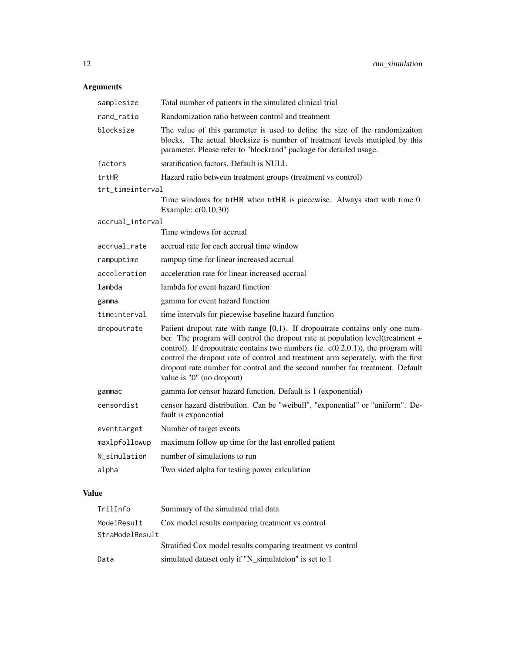| samplesize       | Total number of patients in the simulated clinical trial                                                                                                                                                                                                                                                                                                                                                                                                  |
|------------------|-----------------------------------------------------------------------------------------------------------------------------------------------------------------------------------------------------------------------------------------------------------------------------------------------------------------------------------------------------------------------------------------------------------------------------------------------------------|
| rand_ratio       | Randomization ratio between control and treatment                                                                                                                                                                                                                                                                                                                                                                                                         |
| blocksize        | The value of this parameter is used to define the size of the randomizaiton<br>blocks. The actual blocksize is number of treatment levels mutipled by this<br>parameter. Please refer to "blockrand" package for detailed usage.                                                                                                                                                                                                                          |
| factors          | stratification factors. Default is NULL                                                                                                                                                                                                                                                                                                                                                                                                                   |
| trtHR            | Hazard ratio between treatment groups (treatment vs control)                                                                                                                                                                                                                                                                                                                                                                                              |
| trt_timeinterval |                                                                                                                                                                                                                                                                                                                                                                                                                                                           |
|                  | Time windows for trtHR when trtHR is piecewise. Always start with time 0.<br>Example: $c(0,10,30)$                                                                                                                                                                                                                                                                                                                                                        |
| accrual_interval |                                                                                                                                                                                                                                                                                                                                                                                                                                                           |
|                  | Time windows for accrual                                                                                                                                                                                                                                                                                                                                                                                                                                  |
| accrual rate     | accrual rate for each accrual time window                                                                                                                                                                                                                                                                                                                                                                                                                 |
| rampuptime       | rampup time for linear increased accrual                                                                                                                                                                                                                                                                                                                                                                                                                  |
| acceleration     | acceleration rate for linear increased accrual                                                                                                                                                                                                                                                                                                                                                                                                            |
| lambda           | lambda for event hazard function                                                                                                                                                                                                                                                                                                                                                                                                                          |
| gamma            | gamma for event hazard function                                                                                                                                                                                                                                                                                                                                                                                                                           |
| timeinterval     | time intervals for piecewise baseline hazard function                                                                                                                                                                                                                                                                                                                                                                                                     |
| dropoutrate      | Patient dropout rate with range $[0,1)$ . If dropoutrate contains only one num-<br>ber. The program will control the dropout rate at population level(treatment +<br>control). If dropoutrate contains two numbers (ie. $c(0.2,0.1)$ ), the program will<br>control the dropout rate of control and treatment arm seperately, with the first<br>dropout rate number for control and the second number for treatment. Default<br>value is "0" (no dropout) |
| gammac           | gamma for censor hazard function. Default is 1 (exponential)                                                                                                                                                                                                                                                                                                                                                                                              |
| censordist       | censor hazard distribution. Can be "weibull", "exponential" or "uniform". De-<br>fault is exponential                                                                                                                                                                                                                                                                                                                                                     |
| eventtarget      | Number of target events                                                                                                                                                                                                                                                                                                                                                                                                                                   |
| maxlpfollowup    | maximum follow up time for the last enrolled patient                                                                                                                                                                                                                                                                                                                                                                                                      |
| N_simulation     | number of simulations to run                                                                                                                                                                                                                                                                                                                                                                                                                              |
| alpha            | Two sided alpha for testing power calculation                                                                                                                                                                                                                                                                                                                                                                                                             |
|                  |                                                                                                                                                                                                                                                                                                                                                                                                                                                           |

# Value

| TrilInfo        | Summary of the simulated trial data                         |
|-----------------|-------------------------------------------------------------|
| ModelResult     | Cox model results comparing treatment vs control            |
| StraModelResult |                                                             |
|                 | Stratified Cox model results comparing treatment vs control |
| Data            | simulated dataset only if "N_simulateion" is set to 1       |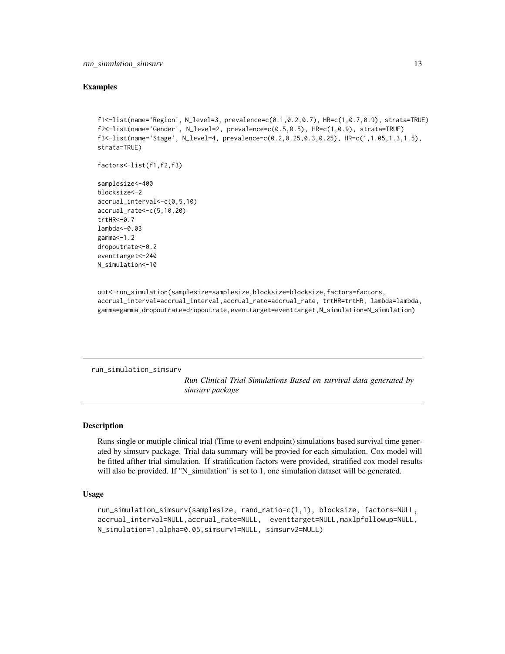#### <span id="page-12-0"></span>Examples

```
f1<-list(name='Region', N_level=3, prevalence=c(0.1,0.2,0.7), HR=c(1,0.7,0.9), strata=TRUE)
f2<-list(name='Gender', N_level=2, prevalence=c(0.5,0.5), HR=c(1,0.9), strata=TRUE)
f3<-list(name='Stage', N_level=4, prevalence=c(0.2,0.25,0.3,0.25), HR=c(1,1.05,1.3,1.5),
strata=TRUE)
```

```
factors<-list(f1,f2,f3)
```

```
samplesize<-400
blocksize<-2
accrual_interval<-c(0,5,10)
accrual_rate<-c(5,10,20)
trtHR<-0.7
lambda<-0.03
gamma<-1.2
dropoutrate<-0.2
eventtarget<-240
N_simulation<-10
```
out<-run\_simulation(samplesize=samplesize,blocksize=blocksize,factors=factors, accrual\_interval=accrual\_interval,accrual\_rate=accrual\_rate, trtHR=trtHR, lambda=lambda, gamma=gamma,dropoutrate=dropoutrate,eventtarget=eventtarget,N\_simulation=N\_simulation)

run\_simulation\_simsurv

*Run Clinical Trial Simulations Based on survival data generated by simsurv package*

#### **Description**

Runs single or mutiple clinical trial (Time to event endpoint) simulations based survival time generated by simsurv package. Trial data summary will be provied for each simulation. Cox model will be fitted afther trial simulation. If stratification factors were provided, stratified cox model results will also be provided. If "N\_simulation" is set to 1, one simulation dataset will be generated.

```
run_simulation_simsurv(samplesize, rand_ratio=c(1,1), blocksize, factors=NULL,
accrual_interval=NULL,accrual_rate=NULL, eventtarget=NULL,maxlpfollowup=NULL,
N_simulation=1,alpha=0.05,simsurv1=NULL, simsurv2=NULL)
```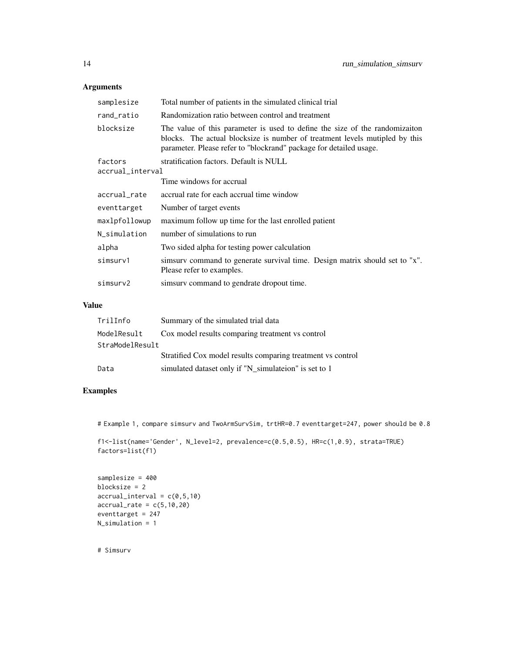| samplesize       | Total number of patients in the simulated clinical trial                                                                                                                                                                         |  |
|------------------|----------------------------------------------------------------------------------------------------------------------------------------------------------------------------------------------------------------------------------|--|
| rand_ratio       | Randomization ratio between control and treatment                                                                                                                                                                                |  |
| blocksize        | The value of this parameter is used to define the size of the randomization<br>blocks. The actual blocksize is number of treatment levels mutipled by this<br>parameter. Please refer to "blockrand" package for detailed usage. |  |
| factors          | stratification factors. Default is NULL                                                                                                                                                                                          |  |
| accrual_interval |                                                                                                                                                                                                                                  |  |
|                  | Time windows for accrual                                                                                                                                                                                                         |  |
| accrual rate     | accrual rate for each accrual time window                                                                                                                                                                                        |  |
| eventtarget      | Number of target events                                                                                                                                                                                                          |  |
| maxlpfollowup    | maximum follow up time for the last enrolled patient                                                                                                                                                                             |  |
| N simulation     | number of simulations to run                                                                                                                                                                                                     |  |
| alpha            | Two sided alpha for testing power calculation                                                                                                                                                                                    |  |
| simsurv1         | simsurv command to generate survival time. Design matrix should set to "x".<br>Please refer to examples.                                                                                                                         |  |
| simsurv2         | simsury command to gendrate dropout time.                                                                                                                                                                                        |  |

# Value

| TrilInfo        | Summary of the simulated trial data                         |
|-----------------|-------------------------------------------------------------|
| ModelResult     | Cox model results comparing treatment vs control            |
| StraModelResult |                                                             |
|                 | Stratified Cox model results comparing treatment vs control |
| Data            | simulated dataset only if "N_simulateion" is set to 1       |

# Examples

# Example 1, compare simsurv and TwoArmSurvSim, trtHR=0.7 eventtarget=247, power should be 0.8

```
f1<-list(name='Gender', N_level=2, prevalence=c(0.5,0.5), HR=c(1,0.9), strata=TRUE)
factors=list(f1)
```

```
samplesize = 400
blocksize = 2
\text{accrual}_\text{interval} = c(0, 5, 10)\text{accrual_rate} = c(5,10,20)eventtarget = 247
N_simulation = 1
```
# Simsurv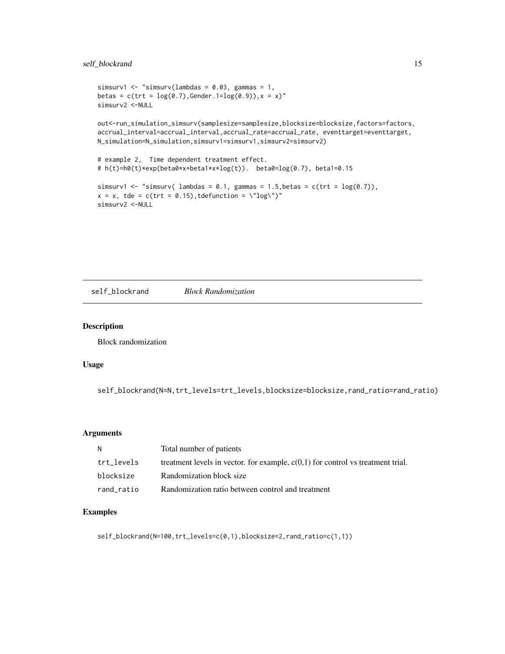# <span id="page-14-0"></span>self\_blockrand 15

```
simsurv1 <- "simsurv(lambdas = 0.03, gammas = 1,
betas = c(trt = log(0.7), Gender.1 = log(0.9)), x = x"
simsurv2 <-NULL
```
out<-run\_simulation\_simsurv(samplesize=samplesize,blocksize=blocksize,factors=factors, accrual\_interval=accrual\_interval,accrual\_rate=accrual\_rate, eventtarget=eventtarget, N\_simulation=N\_simulation,simsurv1=simsurv1,simsurv2=simsurv2)

```
# example 2, Time dependent treatment effect.
# h(t)=h0(t)*exp(beta0*x+beta1*x*log(t)). beta0=log(0.7), beta1=0.15
```

```
simsurv1 <- "simsurv( lambdas = 0.1, gammas = 1.5, betas = c(trt = log(0.7)),
x = x, tde = c(trt = 0.15), tdefunction = \"log\")"
simsurv2 <-NULL
```
self\_blockrand *Block Randomization*

### Description

Block randomization

#### Usage

self\_blockrand(N=N,trt\_levels=trt\_levels,blocksize=blocksize,rand\_ratio=rand\_ratio)

#### Arguments

| N          | Total number of patients                                                          |
|------------|-----------------------------------------------------------------------------------|
| trt levels | treatment levels in vector. for example, $c(0,1)$ for control vs treatment trial. |
| blocksize  | Randomization block size                                                          |
| rand ratio | Randomization ratio between control and treatment                                 |

#### Examples

self\_blockrand(N=100,trt\_levels=c(0,1),blocksize=2,rand\_ratio=c(1,1))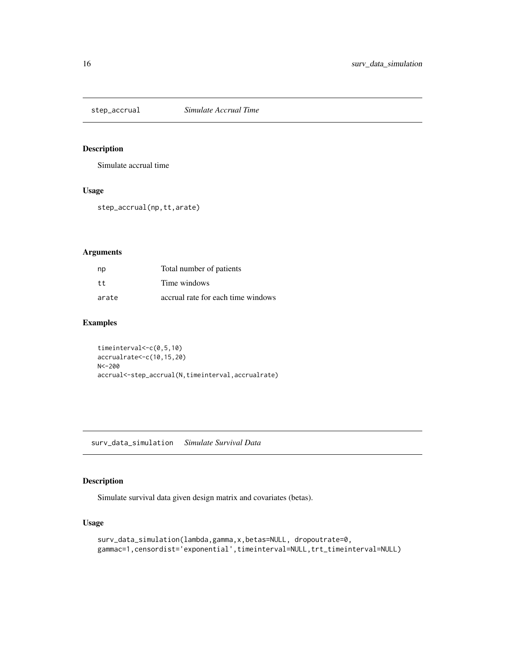<span id="page-15-0"></span>

Simulate accrual time

# Usage

step\_accrual(np,tt,arate)

# Arguments

| np    | Total number of patients           |
|-------|------------------------------------|
| tt    | Time windows                       |
| arate | accrual rate for each time windows |

# Examples

timeinterval<-c(0,5,10) accrualrate<-c(10,15,20) N<-200 accrual<-step\_accrual(N,timeinterval,accrualrate)

surv\_data\_simulation *Simulate Survival Data*

# Description

Simulate survival data given design matrix and covariates (betas).

```
surv_data_simulation(lambda,gamma,x,betas=NULL, dropoutrate=0,
gammac=1,censordist='exponential',timeinterval=NULL,trt_timeinterval=NULL)
```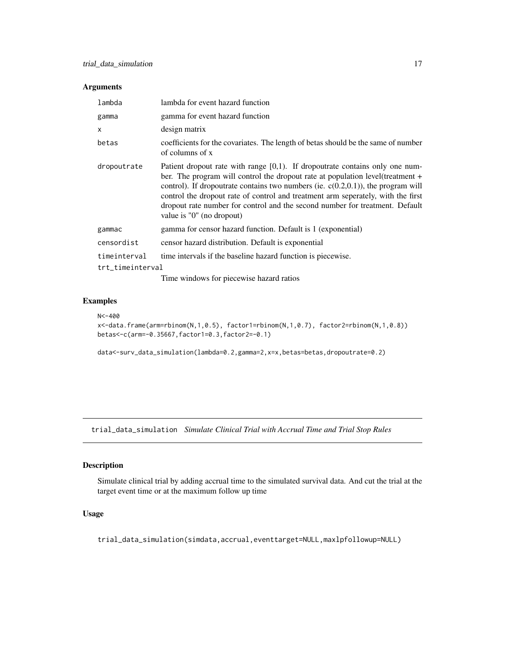<span id="page-16-0"></span>

| lambda           | lambda for event hazard function                                                                                                                                                                                                                                                                                                                                                                                                                          |
|------------------|-----------------------------------------------------------------------------------------------------------------------------------------------------------------------------------------------------------------------------------------------------------------------------------------------------------------------------------------------------------------------------------------------------------------------------------------------------------|
| gamma            | gamma for event hazard function                                                                                                                                                                                                                                                                                                                                                                                                                           |
| x                | design matrix                                                                                                                                                                                                                                                                                                                                                                                                                                             |
| betas            | coefficients for the covariates. The length of betas should be the same of number<br>of columns of x                                                                                                                                                                                                                                                                                                                                                      |
| dropoutrate      | Patient dropout rate with range $[0,1)$ . If dropoutrate contains only one num-<br>ber. The program will control the dropout rate at population level(treatment +<br>control). If dropoutrate contains two numbers (ie. $c(0.2,0.1)$ ), the program will<br>control the dropout rate of control and treatment arm seperately, with the first<br>dropout rate number for control and the second number for treatment. Default<br>value is "0" (no dropout) |
| gammac           | gamma for censor hazard function. Default is 1 (exponential)                                                                                                                                                                                                                                                                                                                                                                                              |
| censordist       | censor hazard distribution. Default is exponential                                                                                                                                                                                                                                                                                                                                                                                                        |
| timeinterval     | time intervals if the baseline hazard function is piecewise.                                                                                                                                                                                                                                                                                                                                                                                              |
| trt_timeinterval |                                                                                                                                                                                                                                                                                                                                                                                                                                                           |
|                  |                                                                                                                                                                                                                                                                                                                                                                                                                                                           |

Time windows for piecewise hazard ratios

# Examples

```
N<-400
```
x<-data.frame(arm=rbinom(N,1,0.5), factor1=rbinom(N,1,0.7), factor2=rbinom(N,1,0.8)) betas<-c(arm=-0.35667,factor1=0.3,factor2=-0.1)

data<-surv\_data\_simulation(lambda=0.2,gamma=2,x=x,betas=betas,dropoutrate=0.2)

trial\_data\_simulation *Simulate Clinical Trial with Accrual Time and Trial Stop Rules*

#### Description

Simulate clinical trial by adding accrual time to the simulated survival data. And cut the trial at the target event time or at the maximum follow up time

# Usage

trial\_data\_simulation(simdata,accrual,eventtarget=NULL,maxlpfollowup=NULL)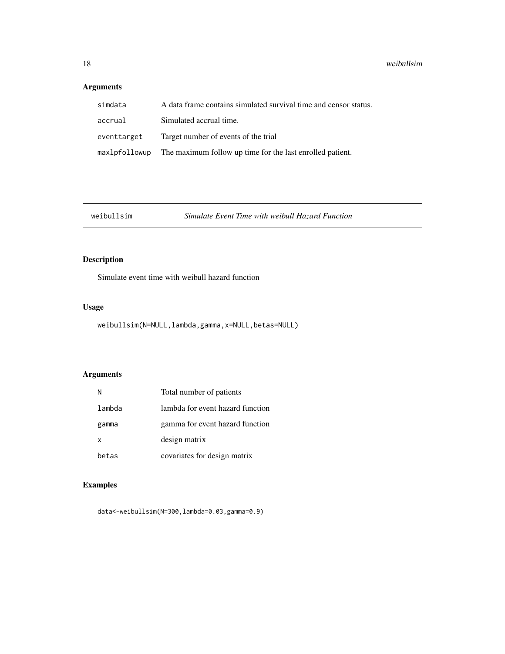<span id="page-17-0"></span>

| simdata     | A data frame contains simulated survival time and censor status.        |
|-------------|-------------------------------------------------------------------------|
| accrual     | Simulated accrual time.                                                 |
| eventtarget | Target number of events of the trial                                    |
|             | max1pfo11owup The maximum follow up time for the last enrolled patient. |

weibullsim *Simulate Event Time with weibull Hazard Function*

# Description

Simulate event time with weibull hazard function

# Usage

weibullsim(N=NULL,lambda,gamma,x=NULL,betas=NULL)

# Arguments

|        | Total number of patients         |
|--------|----------------------------------|
| lambda | lambda for event hazard function |
| gamma  | gamma for event hazard function  |
| x      | design matrix                    |
| betas  | covariates for design matrix     |

# Examples

data<-weibullsim(N=300,lambda=0.03,gamma=0.9)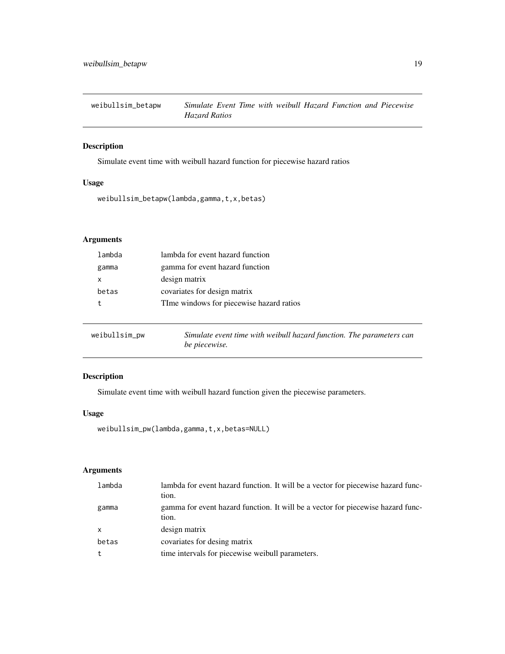<span id="page-18-0"></span>

Simulate event time with weibull hazard function for piecewise hazard ratios

### Usage

weibullsim\_betapw(lambda,gamma,t,x,betas)

# Arguments

| lambda | lambda for event hazard function         |
|--------|------------------------------------------|
| gamma  | gamma for event hazard function          |
| x      | design matrix                            |
| betas  | covariates for design matrix             |
|        | TIme windows for piecewise hazard ratios |
|        |                                          |

| weibullsim_pw | Simulate event time with weibull hazard function. The parameters can |
|---------------|----------------------------------------------------------------------|
|               | be piecewise.                                                        |

# Description

Simulate event time with weibull hazard function given the piecewise parameters.

# Usage

```
weibullsim_pw(lambda,gamma,t,x,betas=NULL)
```

| lambda       | lambda for event hazard function. It will be a vector for piecewise hazard func-<br>tion. |
|--------------|-------------------------------------------------------------------------------------------|
| gamma        | gamma for event hazard function. It will be a vector for piecewise hazard func-<br>tion.  |
| $\mathsf{x}$ | design matrix                                                                             |
| betas        | covariates for desing matrix                                                              |
|              | time intervals for piecewise weibull parameters.                                          |